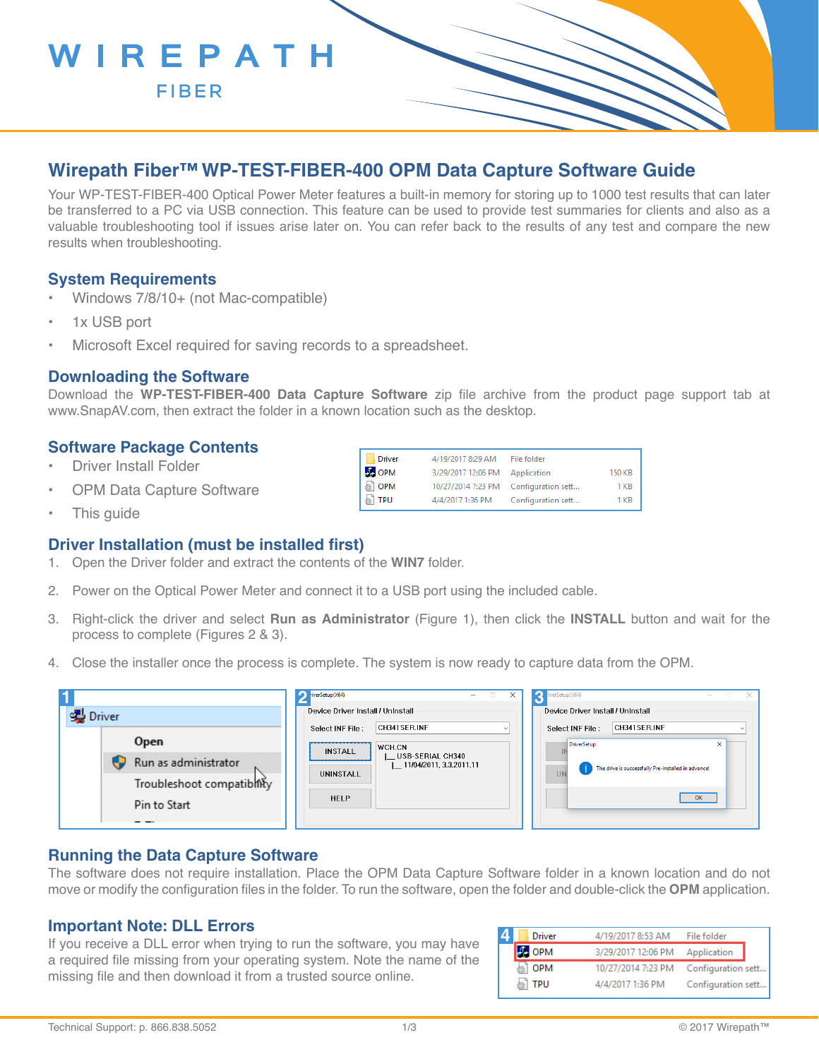

**FIBER**

## **Wirepath Fiber™ WP-TEST-FIBER-400 OPM Data Capture Software Guide**

Your WP-TEST-FIBER-400 Optical Power Meter features a built-in memory for storing up to 1000 test results that can later be transferred to a PC via USB connection. This feature can be used to provide test summaries for clients and also as a valuable troubleshooting tool if issues arise later on. You can refer back to the results of any test and compare the new results when troubleshooting.

#### **System Requirements**

- Windows 7/8/10+ (not Mac-compatible)
- 1x USB port
- Microsoft Excel required for saving records to a spreadsheet.

#### **Downloading the Software**

Download the **WP-TEST-FIBER-400 Data Capture Software** zip file archive from the product page support tab at www.SnapAV.com, then extract the folder in a known location such as the desktop.

4/19/2017 8:29 AM

3/29/2017 12:06 PM Application

10/27/2014 7:23 PM Configuration sett...

4/4/2017 1:36 PM Configuration sett...

File folder

150 KB

 $1 K B$ 

 $1<sub>KB</sub>$ 

Driver

**BS** OPM

**OPM** 

**TPU** 

#### **Software Package Contents**

- Driver Install Folder
- OPM Data Capture Software
- This quide

#### **Driver Installation (must be installed first)**

- 1. Open the Driver folder and extract the contents of the **WIN7** folder.
- 2. Power on the Optical Power Meter and connect it to a USB port using the included cable.
- 3. Right-click the driver and select **Run as Administrator** (Figure 1), then click the **INSTALL** button and wait for the process to complete (Figures 2 & 3).
- 4. Close the installer once the process is complete. The system is now ready to capture data from the OPM.

|                                            | $\bigcap$ riverSetup(X64)<br>$\Box$<br>$-$                                                                           | verSetup(X64)<br>$\times$<br>$\mathbb{R}$ $\times$<br>$\overline{\phantom{a}}$ |
|--------------------------------------------|----------------------------------------------------------------------------------------------------------------------|--------------------------------------------------------------------------------|
| · Driver                                   | Device Driver Install / UnInstall                                                                                    | Device Driver Install / Uninstall                                              |
| Open<br>Run as administrator               | CH341SER.INF<br>Select INF File:<br>WCH.CN<br><b>INSTALL</b><br>L USB-SERIAL CH340<br>$\Box$ 11/04/2011, 3.3.2011.11 | CH341SER.INF<br>Select INF File:<br>DriverSetup<br>$\times$                    |
| Troubleshoot compatibility<br>Pin to Start | UNINSTALL<br><b>HELP</b>                                                                                             | The drive is successfully Pre-installed in advance!<br><b>UN</b><br>OK         |

#### **Running the Data Capture Software**

The software does not require installation. Place the OPM Data Capture Software folder in a known location and do not move or modify the configuration files in the folder. To run the software, open the folder and double-click the **OPM** application.

#### **Important Note: DLL Errors**

If you receive a DLL error when trying to run the software, you may have a required file missing from your operating system. Note the name of the missing file and then download it from a trusted source online.

| <b>Driver</b> | 4/19/2017 8:53 AM  | File folder                           |
|---------------|--------------------|---------------------------------------|
| <b>BE OPM</b> | 3/29/2017 12:06 PM | Application                           |
| OPM           |                    | 10/27/2014 7:23 PM Configuration sett |
| <b>TPU</b>    | 4/4/2017 1:36 PM   | Configuration sett                    |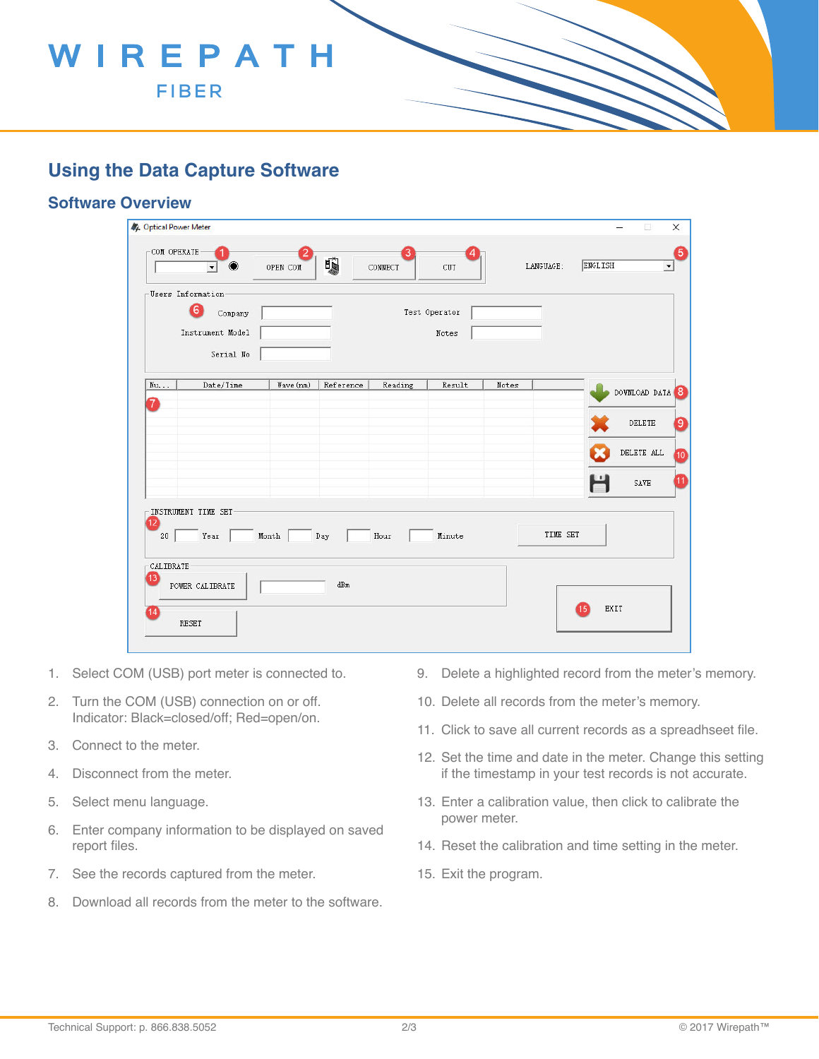# WIREPATH

**FIBER**

## **Using the Data Capture Software**

### **Software Overview**

| 4 Optical Power Meter<br>-COM OPERATE |                                                                    | OPEN COM                        | 嘎         | CONNECT | CUT                    |       | LANGUAGE: | ENGLISH | Ω<br>$\overline{\phantom{a}}$ |
|---------------------------------------|--------------------------------------------------------------------|---------------------------------|-----------|---------|------------------------|-------|-----------|---------|-------------------------------|
|                                       | Users Information<br>6<br>Company<br>Instrument Model<br>Serial No |                                 |           |         | Test Operator<br>Notes |       |           |         |                               |
| Nu                                    | Date/Time                                                          | Wave (nm)                       | Reference | Reading | Result                 | Notes |           |         | DOWNLOAD DATA                 |
| 7                                     |                                                                    |                                 |           |         |                        |       |           |         | DELETE                        |
|                                       |                                                                    |                                 |           |         |                        |       |           |         | $\rm{DELETE}$ ALL             |
|                                       |                                                                    |                                 |           |         |                        |       |           | Н       | SAVE                          |
| 12<br>20<br>-CALIBRATE<br>13          | -INSTRUMENT TIME SET<br>Year                                       | $\operatorname{\mathsf{Month}}$ | Day       | Hour    | Minute                 |       | TIME SET  |         |                               |
| 14                                    | POWER CALIBRATE                                                    |                                 | $dBm$     |         |                        |       |           |         | EXIT                          |
|                                       | <b>RESET</b>                                                       |                                 |           |         |                        |       |           |         |                               |

- 1. Select COM (USB) port meter is connected to.
- 2. Turn the COM (USB) connection on or off. Indicator: Black=closed/off; Red=open/on.
- 3. Connect to the meter.
- 4. Disconnect from the meter.
- 5. Select menu language.
- 6. Enter company information to be displayed on saved report files.
- 7. See the records captured from the meter.
- 8. Download all records from the meter to the software.
- 9. Delete a highlighted record from the meter's memory.
- 10. Delete all records from the meter's memory.
- 11. Click to save all current records as a spreadhseet file.
- 12. Set the time and date in the meter. Change this setting if the timestamp in your test records is not accurate.
- 13. Enter a calibration value, then click to calibrate the power meter.
- 14. Reset the calibration and time setting in the meter.
- 15. Exit the program.